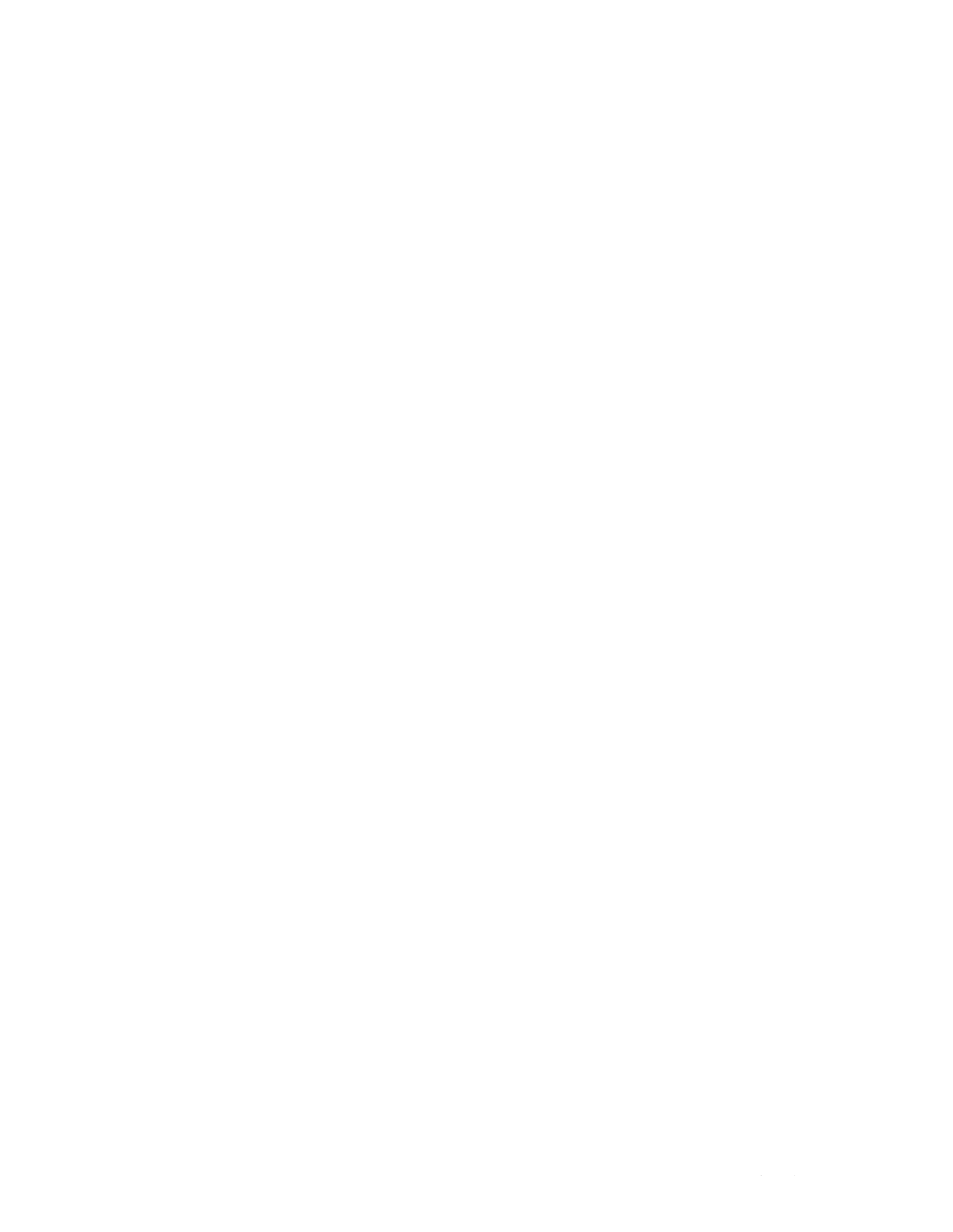*Irbesartan Page 1 of 4*